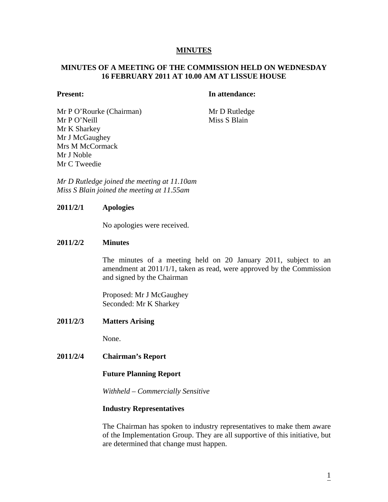## **MINUTES**

# **MINUTES OF A MEETING OF THE COMMISSION HELD ON WEDNESDAY 16 FEBRUARY 2011 AT 10.00 AM AT LISSUE HOUSE**

## **Present:** In attendance:

Mr P O'Rourke (Chairman) Mr D Rutledge Mr P O'Neill Miss S Blain Mr K Sharkey Mr J McGaughey Mrs M McCormack Mr J Noble Mr C Tweedie

*Mr D Rutledge joined the meeting at 11.10am Miss S Blain joined the meeting at 11.55am* 

## **2011/2/1 Apologies**

No apologies were received.

## **2011/2/2 Minutes**

The minutes of a meeting held on 20 January 2011, subject to an amendment at 2011/1/1, taken as read, were approved by the Commission and signed by the Chairman

Proposed: Mr J McGaughey Seconded: Mr K Sharkey

**2011/2/3 Matters Arising** 

None.

**2011/2/4 Chairman's Report** 

#### **Future Planning Report**

*Withheld – Commercially Sensitive*

#### **Industry Representatives**

The Chairman has spoken to industry representatives to make them aware of the Implementation Group. They are all supportive of this initiative, but are determined that change must happen.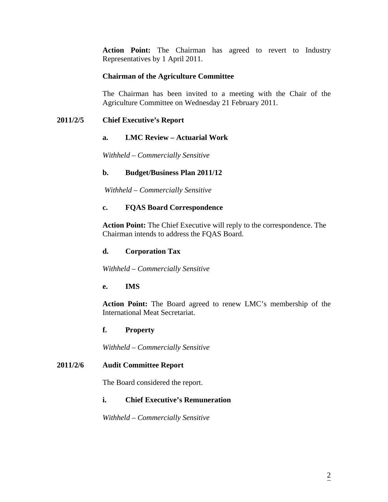**Action Point:** The Chairman has agreed to revert to Industry Representatives by 1 April 2011.

# **Chairman of the Agriculture Committee**

The Chairman has been invited to a meeting with the Chair of the Agriculture Committee on Wednesday 21 February 2011.

# **2011/2/5 Chief Executive's Report**

## **a. LMC Review – Actuarial Work**

*Withheld – Commercially Sensitive*

## **b. Budget/Business Plan 2011/12**

 *Withheld – Commercially Sensitive*

## **c. FQAS Board Correspondence**

 **Action Point:** The Chief Executive will reply to the correspondence. The Chairman intends to address the FQAS Board.

## **d. Corporation Tax**

*Withheld – Commercially Sensitive* 

## **e. IMS**

**Action Point:** The Board agreed to renew LMC's membership of the International Meat Secretariat.

## **f. Property**

*Withheld – Commercially Sensitive* 

## **2011/2/6 Audit Committee Report**

The Board considered the report.

## **i. Chief Executive's Remuneration**

*Withheld – Commercially Sensitive*